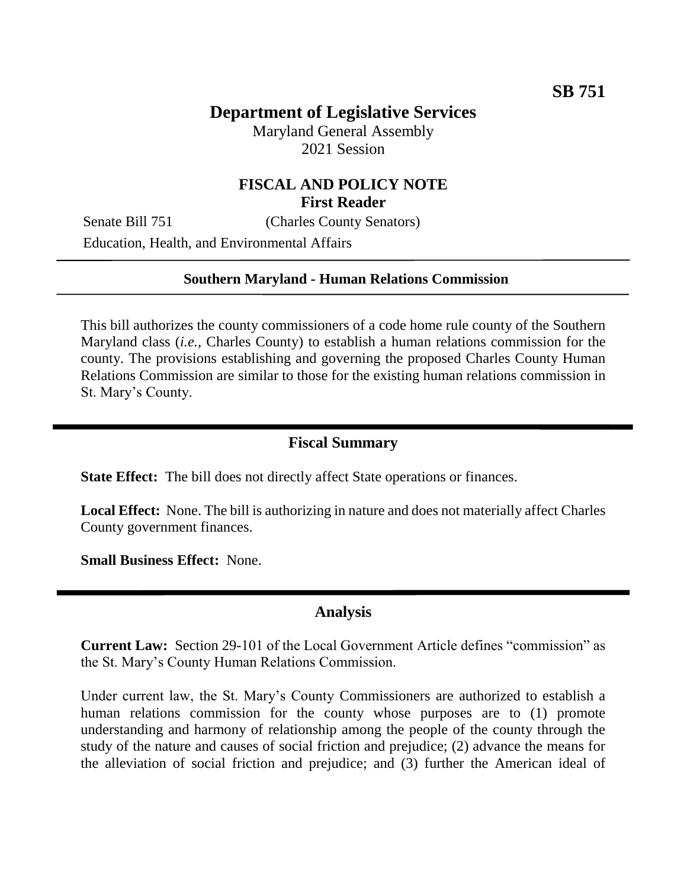# **Department of Legislative Services**

Maryland General Assembly 2021 Session

### **FISCAL AND POLICY NOTE First Reader**

Senate Bill 751 (Charles County Senators)

Education, Health, and Environmental Affairs

#### **Southern Maryland - Human Relations Commission**

This bill authorizes the county commissioners of a code home rule county of the Southern Maryland class (*i.e.*, Charles County) to establish a human relations commission for the county. The provisions establishing and governing the proposed Charles County Human Relations Commission are similar to those for the existing human relations commission in St. Mary's County.

#### **Fiscal Summary**

**State Effect:** The bill does not directly affect State operations or finances.

**Local Effect:** None. The bill is authorizing in nature and does not materially affect Charles County government finances.

**Small Business Effect:** None.

### **Analysis**

**Current Law:** Section 29-101 of the Local Government Article defines "commission" as the St. Mary's County Human Relations Commission.

Under current law, the St. Mary's County Commissioners are authorized to establish a human relations commission for the county whose purposes are to (1) promote understanding and harmony of relationship among the people of the county through the study of the nature and causes of social friction and prejudice; (2) advance the means for the alleviation of social friction and prejudice; and (3) further the American ideal of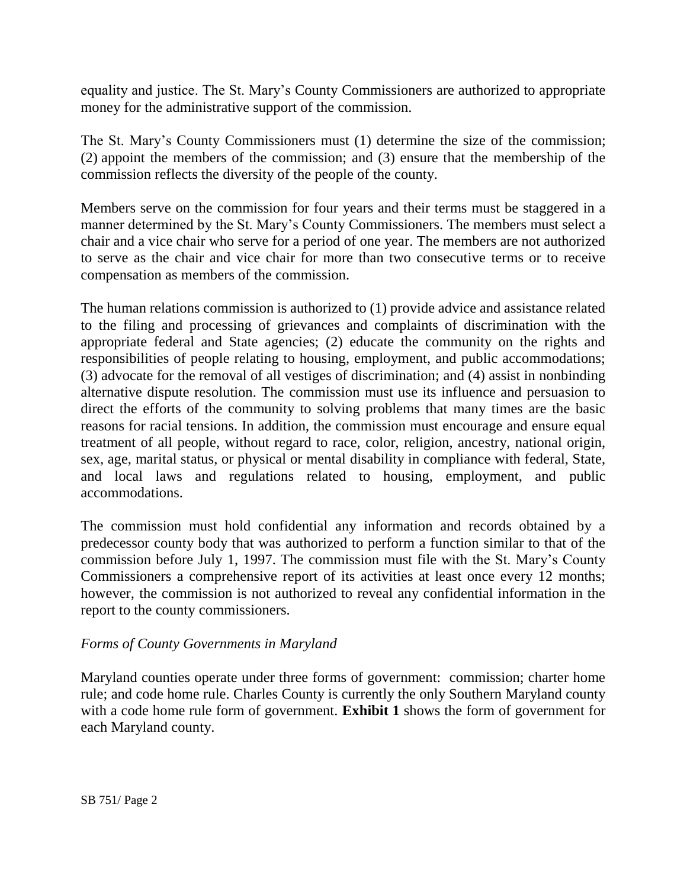equality and justice. The St. Mary's County Commissioners are authorized to appropriate money for the administrative support of the commission.

The St. Mary's County Commissioners must (1) determine the size of the commission; (2) appoint the members of the commission; and (3) ensure that the membership of the commission reflects the diversity of the people of the county.

Members serve on the commission for four years and their terms must be staggered in a manner determined by the St. Mary's County Commissioners. The members must select a chair and a vice chair who serve for a period of one year. The members are not authorized to serve as the chair and vice chair for more than two consecutive terms or to receive compensation as members of the commission.

The human relations commission is authorized to (1) provide advice and assistance related to the filing and processing of grievances and complaints of discrimination with the appropriate federal and State agencies; (2) educate the community on the rights and responsibilities of people relating to housing, employment, and public accommodations; (3) advocate for the removal of all vestiges of discrimination; and (4) assist in nonbinding alternative dispute resolution. The commission must use its influence and persuasion to direct the efforts of the community to solving problems that many times are the basic reasons for racial tensions. In addition, the commission must encourage and ensure equal treatment of all people, without regard to race, color, religion, ancestry, national origin, sex, age, marital status, or physical or mental disability in compliance with federal, State, and local laws and regulations related to housing, employment, and public accommodations.

The commission must hold confidential any information and records obtained by a predecessor county body that was authorized to perform a function similar to that of the commission before July 1, 1997. The commission must file with the St. Mary's County Commissioners a comprehensive report of its activities at least once every 12 months; however, the commission is not authorized to reveal any confidential information in the report to the county commissioners.

#### *Forms of County Governments in Maryland*

Maryland counties operate under three forms of government: commission; charter home rule; and code home rule. Charles County is currently the only Southern Maryland county with a code home rule form of government. **Exhibit 1** shows the form of government for each Maryland county.